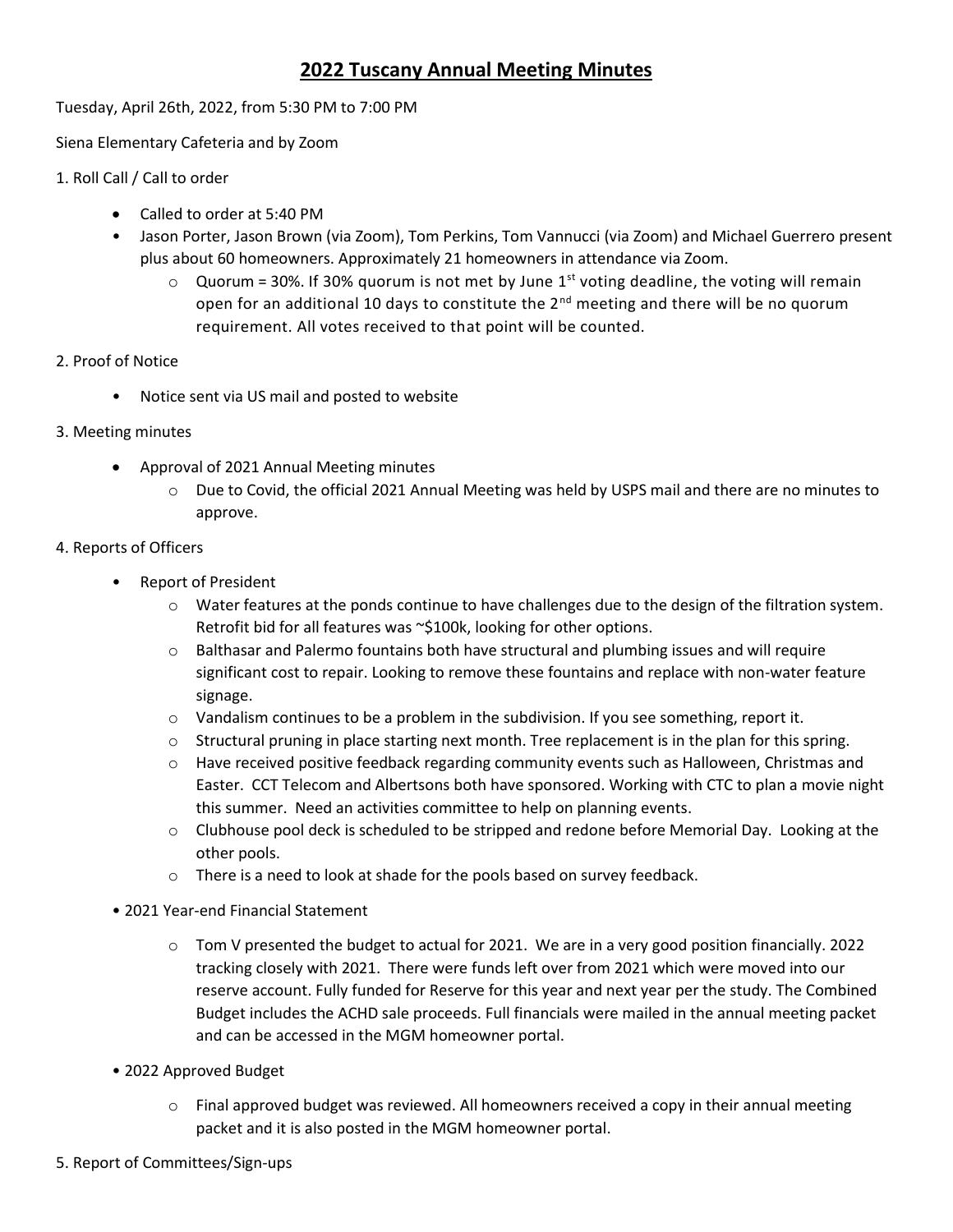# **2022 Tuscany Annual Meeting Minutes**

Tuesday, April 26th, 2022, from 5:30 PM to 7:00 PM

Siena Elementary Cafeteria and by Zoom

- 1. Roll Call / Call to order
	- Called to order at 5:40 PM
	- Jason Porter, Jason Brown (via Zoom), Tom Perkins, Tom Vannucci (via Zoom) and Michael Guerrero present plus about 60 homeowners. Approximately 21 homeowners in attendance via Zoom.
		- $\circ$  Quorum = 30%. If 30% quorum is not met by June 1<sup>st</sup> voting deadline, the voting will remain open for an additional 10 days to constitute the  $2<sup>nd</sup>$  meeting and there will be no quorum requirement. All votes received to that point will be counted.
- 2. Proof of Notice
	- Notice sent via US mail and posted to website
- 3. Meeting minutes
	- Approval of 2021 Annual Meeting minutes
		- $\circ$  Due to Covid, the official 2021 Annual Meeting was held by USPS mail and there are no minutes to approve.

### 4. Reports of Officers

- Report of President
	- $\circ$  Water features at the ponds continue to have challenges due to the design of the filtration system. Retrofit bid for all features was ~\$100k, looking for other options.
	- $\circ$  Balthasar and Palermo fountains both have structural and plumbing issues and will require significant cost to repair. Looking to remove these fountains and replace with non-water feature signage.
	- $\circ$  Vandalism continues to be a problem in the subdivision. If you see something, report it.
	- $\circ$  Structural pruning in place starting next month. Tree replacement is in the plan for this spring.
	- $\circ$  Have received positive feedback regarding community events such as Halloween, Christmas and Easter. CCT Telecom and Albertsons both have sponsored. Working with CTC to plan a movie night this summer. Need an activities committee to help on planning events.
	- $\circ$  Clubhouse pool deck is scheduled to be stripped and redone before Memorial Day. Looking at the other pools.
	- o There is a need to look at shade for the pools based on survey feedback.
- 2021 Year-end Financial Statement
	- o Tom V presented the budget to actual for 2021. We are in a very good position financially. 2022 tracking closely with 2021. There were funds left over from 2021 which were moved into our reserve account. Fully funded for Reserve for this year and next year per the study. The Combined Budget includes the ACHD sale proceeds. Full financials were mailed in the annual meeting packet and can be accessed in the MGM homeowner portal.
- 2022 Approved Budget
	- $\circ$  Final approved budget was reviewed. All homeowners received a copy in their annual meeting packet and it is also posted in the MGM homeowner portal.
- 5. Report of Committees/Sign-ups